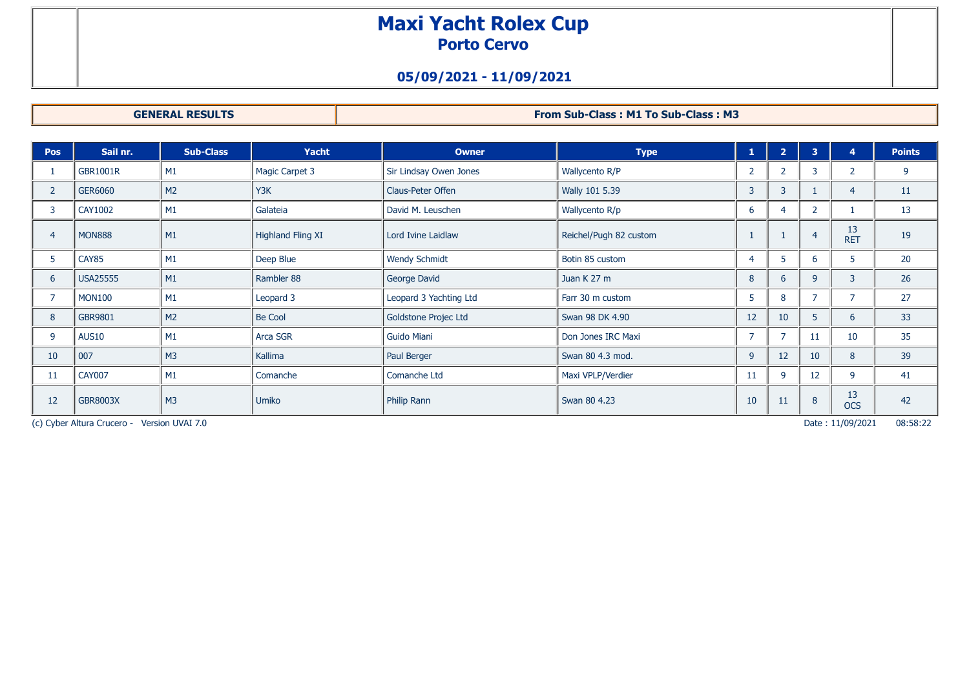# **Maxi Yacht Rolex Cup Porto Cervo**

## **05/09/2021 - 11/09/2021**

**GENERAL RESULTS From Sub-Class : M1 To Sub-Class : M3**

| <b>Pos</b>     | Sail nr.        | <b>Sub-Class</b> | <b>Yacht</b>             | <b>Owner</b>           | <b>Type</b>            | 1              | $\overline{2}$ | $\overline{\mathbf{3}}$ |                  | <b>Points</b>   |
|----------------|-----------------|------------------|--------------------------|------------------------|------------------------|----------------|----------------|-------------------------|------------------|-----------------|
|                | <b>GBR1001R</b> | M1               | <b>Magic Carpet 3</b>    | Sir Lindsay Owen Jones | Wallycento R/P         | $\overline{2}$ | 2 <sup>1</sup> | $\overline{3}$          | $\overline{2}$   | 9               |
| $\overline{2}$ | <b>GER6060</b>  | M <sub>2</sub>   | Y3K                      | Claus-Peter Offen      | Wally 101 5.39         | 3              | $\overline{3}$ |                         | 4                | 11              |
| 3              | <b>CAY1002</b>  | M1               | Galateia                 | David M. Leuschen      | Wallycento R/p         | 6              |                |                         |                  | 13              |
| 4              | <b>MON888</b>   | M1               | <b>Highland Fling XI</b> | Lord Ivine Laidlaw     | Reichel/Pugh 82 custom |                |                | $\overline{4}$          | 13<br><b>RET</b> | 19              |
| 5              | CAY85           | M1               | Deep Blue                | <b>Wendy Schmidt</b>   | Botin 85 custom        | $\overline{4}$ | 5              | -6                      | 5                | 20 <sub>2</sub> |
| 6              | <b>USA25555</b> | M1               | Rambler 88               | George David           | Juan K 27 m            | 8              | 6              | $\overline{9}$          | 3                | 26              |
|                | <b>MON100</b>   | M1               | Leopard 3                | Leopard 3 Yachting Ltd | Farr 30 m custom       | 5              | 8              |                         | ⇁                | 27              |
| 8              | <b>GBR9801</b>  | M <sub>2</sub>   | <b>Be Cool</b>           | Goldstone Projec Ltd   | Swan 98 DK 4.90        | 12             | 10             | 5                       | 6                | 33              |
| 9              | <b>AUS10</b>    | M1               | Arca SGR                 | <b>Guido Miani</b>     | Don Jones IRC Maxi     | 7              | $\overline{z}$ | 11                      | 10               | 35              |
| 10             | 007             | M <sub>3</sub>   | Kallima                  | Paul Berger            | Swan 80 4.3 mod.       | 9              | 12             | 10                      | 8                | 39              |
| 11             | <b>CAY007</b>   | M1               | Comanche                 | Comanche Ltd           | Maxi VPLP/Verdier      | 11             | 9              | 12                      | 9                | 41              |
| 12             | <b>GBR8003X</b> | M <sub>3</sub>   | <b>Umiko</b>             | Philip Rann            | Swan 80 4.23           | 10             | 11             | 8                       | 13<br><b>OCS</b> | 42              |

(c) Cyber Altura Crucero - Version UVAI 7.0 Date : 11/09/2021 08:58:22